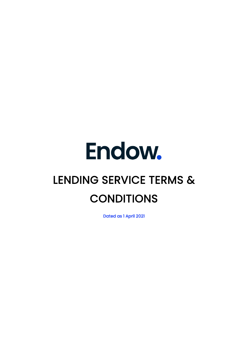# Endow. LENDING SERVICE TERMS & **CONDITIONS**

Dated as 1 April 2021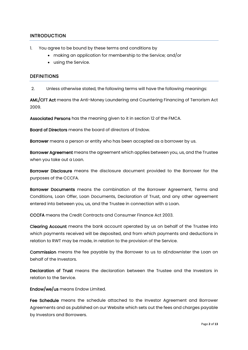# **INTRODUCTION**

- 1. You agree to be bound by these terms and conditions by
	- making an application for membership to the Service; and/or
	- using the Service.

#### **DEFINITIONS**

2. Unless otherwise stated, the following terms will have the following meanings:

AML/CFT Act means the Anti-Money Laundering and Countering Financing of Terrorism Act 2009.

Associated Persons has the meaning given to it in section 12 of the FMCA.

Board of Directors means the board of directors of Endow.

Borrower means a person or entity who has been accepted as a borrower by us.

Borrower Agreement means the agreement which applies between you, us, and the Trustee when you take out a Loan.

Borrower Disclosure means the disclosure document provided to the Borrower for the purposes of the CCCFA.

Borrower Documents means the combination of the Borrower Agreement, Terms and Conditions, Loan Offer, Loan Documents, Declaration of Trust, and any other agreement entered into between you, us, and the Trustee in connection with a Loan.

CCCFA means the Credit Contracts and Consumer Finance Act 2003.

Clearing Account means the bank account operated by us on behalf of the Trustee into which payments received will be deposited, and from which payments and deductions in relation to RWT may be made, in relation to the provision of the Service.

Commission means the fee payable by the Borrower to us to aEndownister the Loan on behalf of the Investors.

Declaration of Trust means the declaration between the Trustee and the Investors in relation to the Service.

Endow/we/us means Endow Limited.

Fee Schedule means the schedule attached to the Investor Agreement and Borrower Agreements and as published on our Website which sets out the fees and charges payable by Investors and Borrowers.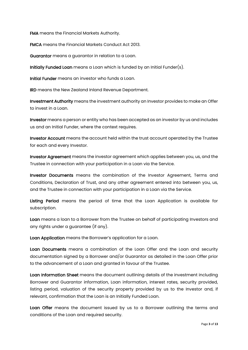FMA means the Financial Markets Authority.

FMCA means the Financial Markets Conduct Act 2013.

Guarantor means a guarantor in relation to a Loan.

Initially Funded Loan means a Loan which is funded by an Initial Funder(s).

Initial Funder means an investor who funds a Loan.

IRD means the New Zealand Inland Revenue Department.

Investment Authority means the investment authority an Investor provides to make an Offer to invest in a Loan.

Investor means a person or entity who has been accepted as an investor by us and includes us and an Initial Funder, where the context requires.

Investor Account means the account held within the trust account operated by the Trustee for each and every Investor.

Investor Agreement means the investor agreement which applies between you, us, and the Trustee in connection with your participation in a Loan via the Service.

Investor Documents means the combination of the Investor Agreement, Terms and Conditions, Declaration of Trust, and any other agreement entered into between you, us, and the Trustee in connection with your participation in a Loan via the Service.

Listing Period means the period of time that the Loan Application is available for subscription.

Loan means a loan to a Borrower from the Trustee on behalf of participating Investors and any rights under a guarantee (if any).

Loan Application means the Borrower's application for a Loan.

Loan Documents means a combination of the Loan Offer and the Loan and security documentation signed by a Borrower and/or Guarantor as detailed in the Loan Offer prior to the advancement of a Loan and granted in favour of the Trustee.

Loan Information Sheet means the document outlining details of the investment including Borrower and Guarantor information, Loan information, interest rates, security provided, listing period, valuation of the security property provided by us to the Investor and, if relevant, confirmation that the Loan is an Initially Funded Loan.

Loan Offer means the document issued by us to a Borrower outlining the terms and conditions of the Loan and required security.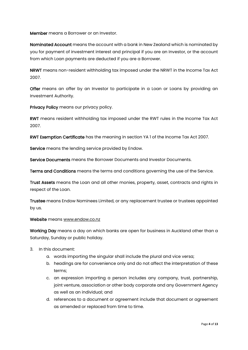Member means a Borrower or an Investor.

Nominated Account means the account with a bank in New Zealand which is nominated by you for payment of investment interest and principal if you are an Investor, or the account from which Loan payments are deducted if you are a Borrower.

NRWT means non-resident withholding tax imposed under the NRWT in the Income Tax Act 2007.

Offer means an offer by an Investor to participate in a Loan or Loans by providing an Investment Authority.

Privacy Policy means our privacy policy.

RWT means resident withholding tax imposed under the RWT rules in the Income Tax Act 2007.

RWT Exemption Certificate has the meaning in section YA 1 of the Income Tax Act 2007.

Service means the lending service provided by Endow.

Service Documents means the Borrower Documents and Investor Documents.

Terms and Conditions means the terms and conditions governing the use of the Service.

Trust Assets means the Loan and all other monies, property, asset, contracts and rights in respect of the Loan.

Trustee means Endow Nominees Limited, or any replacement trustee or trustees appointed by us.

#### Website means [www.endow.co.nz](http://www.endow.co.nz/)

Working Day means a day on which banks are open for business in Auckland other than a Saturday, Sunday or public holiday.

- 3. In this document:
	- a. words importing the singular shall include the plural and vice versa;
	- b. headings are for convenience only and do not affect the interpretation of these terms;
	- c. an expression importing a person includes any company, trust, partnership, joint venture, association or other body corporate and any Government Agency as well as an individual; and
	- d. references to a document or agreement include that document or agreement as amended or replaced from time to time.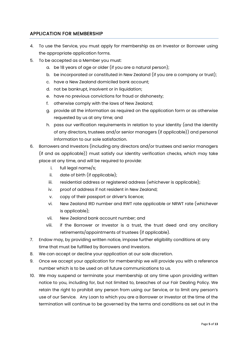# APPLICATION FOR MEMBERSHIP

- 4. To use the Service, you must apply for membership as an Investor or Borrower using the appropriate application forms.
- 5. To be accepted as a Member you must:
	- a. be 18 years of age or older (if you are a natural person);
	- b. be incorporated or constituted in New Zealand (if you are a company or trust);
	- c. have a New Zealand domiciled bank account;
	- d. not be bankrupt, insolvent or in liquidation;
	- e. have no previous convictions for fraud or dishonesty;
	- f. otherwise comply with the laws of New Zealand;
	- g. provide all the information as required on the application form or as otherwise requested by us at any time; and
	- h. pass our verification requirements in relation to your identity (and the identity of any directors, trustees and/or senior managers (if applicable)) and personal information to our sole satisfaction.
- 6. Borrowers and Investors (including any directors and/or trustees and senior managers (if and as applicable)) must satisfy our identity verification checks, which may take place at any time, and will be required to provide:
	- i. full legal name/s;
	- ii. date of birth (if applicable);
	- iii. residential address or registered address (whichever is applicable);
	- iv. proof of address if not resident in New Zealand;
	- v. copy of their passport or driver's licence;
	- vi. New Zealand IRD number and RWT rate applicable or NRWT rate (whichever is applicable);
	- vii. New Zealand bank account number; and
	- viii. if the Borrower or Investor is a trust, the trust deed and any ancillary retirements/appointments of trustees (if applicable).
- 7. Endow may, by providing written notice, impose further eligibility conditions at any time that must be fulfilled by Borrowers and Investors.
- 8. We can accept or decline your application at our sole discretion.
- 9. Once we accept your application for membership we will provide you with a reference number which is to be used on all future communications to us.
- 10. We may suspend or terminate your membership at any time upon providing written notice to you, including for, but not limited to, breaches of our Fair Dealing Policy. We retain the right to prohibit any person from using our Service, or to limit any person's use of our Service. Any Loan to which you are a Borrower or Investor at the time of the termination will continue to be governed by the terms and conditions as set out in the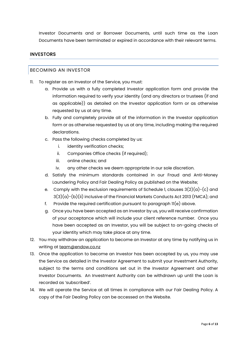Investor Documents and or Borrower Documents, until such time as the Loan Documents have been terminated or expired in accordance with their relevant terms.

# **INVESTORS**

#### BECOMING AN INVESTOR

- 11. To register as an Investor of the Service, you must:
	- a. Provide us with a fully completed Investor application form and provide the information required to verify your identity (and any directors or trustees (if and as applicable)) as detailed on the Investor application form or as otherwise requested by us at any time.
	- b. Fully and completely provide all of the information in the Investor application form or as otherwise requested by us at any time, including making the required declarations.
	- c. Pass the following checks completed by us:
		- i. identity verification checks;
		- ii. Companies Office checks (if required);
		- iii. online checks; and
		- iv. any other checks we deem appropriate in our sole discretion.
	- d. Satisfy the minimum standards contained in our Fraud and Anti-Money Laundering Policy and Fair Dealing Policy as published on the Website;
	- e. Comply with the exclusion requirements of Schedule 1, clauses  $3(2)(a)-(c)$  and  $3(3)(a)-(b)(ii)$  inclusive of the Financial Markets Conducts Act 2013 (FMCA); and
	- f. Provide the required certification pursuant to paragraph 11(e) above.
	- g. Once you have been accepted as an Investor by us, you will receive confirmation of your acceptance which will include your client reference number. Once you have been accepted as an Investor, you will be subject to on-going checks of your identity which may take place at any time.
- 12. You may withdraw an application to become an Investor at any time by notifying us in writing at [team@endow.co.nz](mailto:team@endow.co.nz)
- 13. Once the application to become an Investor has been accepted by us, you may use the Service as detailed in the Investor Agreement to submit your Investment Authority, subject to the terms and conditions set out in the Investor Agreement and other Investor Documents. An Investment Authority can be withdrawn up until the Loan is recorded as 'subscribed'.
- 14. We will operate the Service at all times in compliance with our Fair Dealing Policy. A copy of the Fair Dealing Policy can be accessed on the Website.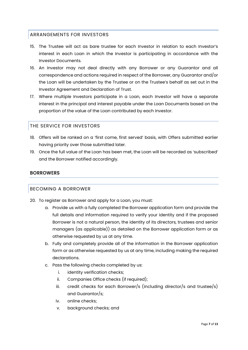# ARRANGEMENTS FOR INVESTORS

- 15. The Trustee will act as bare trustee for each Investor in relation to each Investor's interest in each Loan in which the Investor is participating in accordance with the Investor Documents.
- 16. An Investor may not deal directly with any Borrower or any Guarantor and all correspondence and actions required in respect of the Borrower, any Guarantor and/or the Loan will be undertaken by the Trustee or on the Trustee's behalf as set out in the Investor Agreement and Declaration of Trust.
- 17. Where multiple Investors participate in a Loan, each Investor will have a separate interest in the principal and interest payable under the Loan Documents based on the proportion of the value of the Loan contributed by each Investor.

# THE SERVICE FOR INVESTORS

- 18. Offers will be ranked on a 'first come, first served' basis, with Offers submitted earlier having priority over those submitted later.
- 19. Once the full value of the Loan has been met, the Loan will be recorded as 'subscribed' and the Borrower notified accordingly.

# **BORROWERS**

# BECOMING A BORROWER

- 20. To register as Borrower and apply for a Loan, you must:
	- a. Provide us with a fully completed the Borrower application form and provide the full details and information required to verify your identity and if the proposed Borrower is not a natural person, the identity of its directors, trustees and senior managers (as applicable)) as detailed on the Borrower application form or as otherwise requested by us at any time.
	- b. Fully and completely provide all of the information in the Borrower application form or as otherwise requested by us at any time, including making the required declarations.
	- c. Pass the following checks completed by us:
		- i. identity verification checks;
		- ii. Companies Office checks (if required);
		- iii. credit checks for each Borrower/s (including director/s and trustee/s) and Guarantor/s;
		- iv. online checks;
		- v. background checks; and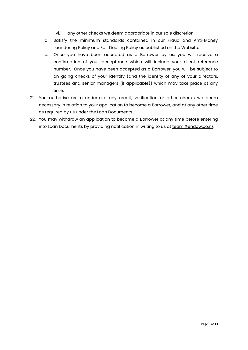- vi. any other checks we deem appropriate in our sole discretion.
- d. Satisfy the minimum standards contained in our Fraud and Anti-Money Laundering Policy and Fair Dealing Policy as published on the Website.
- e. Once you have been accepted as a Borrower by us, you will receive a confirmation of your acceptance which will include your client reference number. Once you have been accepted as a Borrower, you will be subject to on-going checks of your identity (and the identity of any of your directors, trustees and senior managers (if applicable)) which may take place at any time.
- 21. You authorise us to undertake any credit, verification or other checks we deem necessary in relation to your application to become a Borrower, and at any other time as required by us under the Loan Documents.
- 22. You may withdraw an application to become a Borrower at any time before entering into Loan Documents by providing notification in writing to us at [team@endow.co.nz.](mailto:team@endow.co.nz)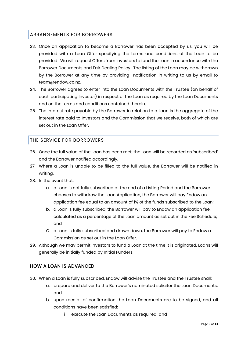# ARRANGEMENTS FOR BORROWERS

- 23. Once an application to become a Borrower has been accepted by us, you will be provided with a Loan Offer specifying the terms and conditions of the Loan to be provided. We will request Offers from Investors to fund the Loan in accordance with the Borrower Documents and Fair Dealing Policy. The listing of the Loan may be withdrawn by the Borrower at any time by providing notification in writing to us by email to [team@endow.co.nz.](mailto:team@endow.co.nz)
- 24. The Borrower agrees to enter into the Loan Documents with the Trustee (on behalf of each participating Investor) in respect of the Loan as required by the Loan Documents and on the terms and conditions contained therein.
- 25. The interest rate payable by the Borrower in relation to a Loan is the aggregate of the interest rate paid to Investors and the Commission that we receive, both of which are set out in the Loan Offer.

# THE SERVICE FOR BORROWERS

- 26. Once the full value of the Loan has been met, the Loan will be recorded as 'subscribed' and the Borrower notified accordingly.
- 27. Where a Loan is unable to be filled to the full value, the Borrower will be notified in writing.
- 28. In the event that:
	- a. a Loan is not fully subscribed at the end of a Listing Period and the Borrower chooses to withdraw the Loan Application, the Borrower will pay Endow an application fee equal to an amount of 1% of the funds subscribed to the Loan;
	- b. a Loan is fully subscribed, the Borrower will pay to Endow an application fee, calculated as a percentage of the Loan amount as set out in the Fee Schedule; and
	- C. a Loan is fully subscribed and drawn down, the Borrower will pay to Endow a Commission as set out in the Loan Offer.
- 29. Although we may permit Investors to fund a Loan at the time it is originated, Loans will generally be initially funded by Initial Funders.

# HOW A LOAN IS ADVANCED

- 30. When a Loan is fully subscribed, Endow will advise the Trustee and the Trustee shall:
	- a. prepare and deliver to the Borrower's nominated solicitor the Loan Documents; and
	- b. upon receipt of confirmation the Loan Documents are to be signed, and all conditions have been satisfied:
		- i execute the Loan Documents as required; and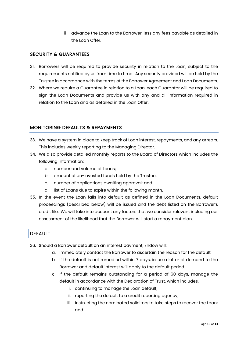ii advance the Loan to the Borrower, less any fees payable as detailed in the Loan Offer.

# SECURITY & GUARANTEES

- 31. Borrowers will be required to provide security in relation to the Loan, subject to the requirements notified by us from time to time. Any security provided will be held by the Trustee in accordance with the terms of the Borrower Agreement and Loan Documents.
- 32. Where we require a Guarantee in relation to a Loan, each Guarantor will be required to sign the Loan Documents and provide us with any and all information required in relation to the Loan and as detailed in the Loan Offer.

# MONITORING DEFAULTS & REPAYMENTS

- 33. We have a system in place to keep track of Loan interest, repayments, and any arrears. This includes weekly reporting to the Managing Director.
- 34. We also provide detailed monthly reports to the Board of Directors which includes the following information:
	- a. number and volume of Loans;
	- b. amount of un-invested funds held by the Trustee;
	- c. number of applications awaiting approval; and
	- d. list of Loans due to expire within the following month.
- 35. In the event the Loan falls into default as defined in the Loan Documents, default proceedings (described below) will be issued and the debt listed on the Borrower's credit file. We will take into account any factors that we consider relevant including our assessment of the likelihood that the Borrower will start a repayment plan.

# DEFAULT

- 36. Should a Borrower default on an interest payment, Endow will:
	- a. Immediately contact the Borrower to ascertain the reason for the default.
	- b. If the default is not remedied within 7 days, issue a letter of demand to the Borrower and default interest will apply to the default period.
	- c. If the default remains outstanding for a period of 60 days, manage the default in accordance with the Declaration of Trust, which includes.
		- i. continuing to manage the Loan default;
		- ii. reporting the default to a credit reporting agency;
		- iii. instructing the nominated solicitors to take steps to recover the Loan; and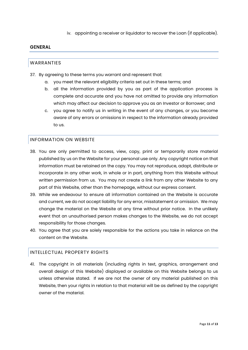iv. appointing a receiver or liquidator to recover the Loan (if applicable).

# GENERAL

# WARRANTIES

- 37. By agreeing to these terms you warrant and represent that:
	- a. you meet the relevant eligibility criteria set out in these terms; and
	- b. all the information provided by you as part of the application process is complete and accurate and you have not omitted to provide any information which may affect our decision to approve you as an Investor or Borrower; and
	- c. you agree to notify us in writing in the event of any changes, or you become aware of any errors or omissions in respect to the information already provided to us.

# INFORMATION ON WEBSITE

- 38. You are only permitted to access, view, copy, print or temporarily store material published by us on the Website for your personal use only. Any copyright notice on that information must be retained on the copy. You may not reproduce, adapt, distribute or incorporate in any other work, in whole or in part, anything from this Website without written permission from us. You may not create a link from any other Website to any part of this Website, other than the homepage, without our express consent.
- 39. While we endeavour to ensure all information contained on the Website is accurate and current, we do not accept liability for any error, misstatement or omission. We may change the material on the Website at any time without prior notice. In the unlikely event that an unauthorised person makes changes to the Website, we do not accept responsibility for those changes.
- 40. You agree that you are solely responsible for the actions you take in reliance on the content on the Website.

# INTELLECTUAL PROPERTY RIGHTS

41. The copyright in all materials (including rights in text, graphics, arrangement and overall design of this Website) displayed or available on this Website belongs to us unless otherwise stated. If we are not the owner of any material published on this Website, then your rights in relation to that material will be as defined by the copyright owner of the material.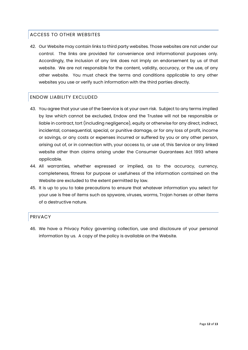# ACCESS TO OTHER WEBSITES

42. Our Website may contain links to third party websites. Those websites are not under our control. The links are provided for convenience and informational purposes only. Accordingly, the inclusion of any link does not imply an endorsement by us of that website. We are not responsible for the content, validity, accuracy, or the use, of any other website. You must check the terms and conditions applicable to any other websites you use or verify such information with the third parties directly.

# ENDOW LIABILITY EXCLUDED

- 43. You agree that your use of the Seervice is at your own risk. Subject to any terms implied by law which cannot be excluded, Endow and the Trustee will not be responsible or liable in contract, tort (including negligence), equity or otherwise for any direct, indirect, incidental, consequential, special, or punitive damage, or for any loss of profit, income or savings, or any costs or expenses incurred or suffered by you or any other person, arising out of, or in connection with, your access to, or use of, this Service or any linked website other than claims arising under the Consumer Guarantees Act 1993 where applicable.
- 44. All warranties, whether expressed or implied, as to the accuracy, currency, completeness, fitness for purpose or usefulness of the information contained on the Website are excluded to the extent permitted by law.
- 45. It is up to you to take precautions to ensure that whatever information you select for your use is free of items such as spyware, viruses, worms, Trojan horses or other items of a destructive nature.

# PRIVACY

46. We have a Privacy Policy governing collection, use and disclosure of your personal information by us. A copy of the policy is available on the Website.